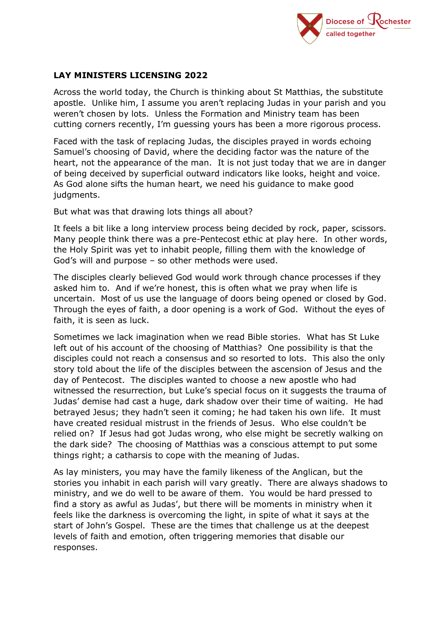

## **LAY MINISTERS LICENSING 2022**

Across the world today, the Church is thinking about St Matthias, the substitute apostle. Unlike him, I assume you aren't replacing Judas in your parish and you weren't chosen by lots. Unless the Formation and Ministry team has been cutting corners recently, I'm guessing yours has been a more rigorous process.

Faced with the task of replacing Judas, the disciples prayed in words echoing Samuel's choosing of David, where the deciding factor was the nature of the heart, not the appearance of the man. It is not just today that we are in danger of being deceived by superficial outward indicators like looks, height and voice. As God alone sifts the human heart, we need his guidance to make good judaments.

But what was that drawing lots things all about?

It feels a bit like a long interview process being decided by rock, paper, scissors. Many people think there was a pre-Pentecost ethic at play here. In other words, the Holy Spirit was yet to inhabit people, filling them with the knowledge of God's will and purpose – so other methods were used.

The disciples clearly believed God would work through chance processes if they asked him to. And if we're honest, this is often what we pray when life is uncertain. Most of us use the language of doors being opened or closed by God. Through the eyes of faith, a door opening is a work of God. Without the eyes of faith, it is seen as luck.

Sometimes we lack imagination when we read Bible stories. What has St Luke left out of his account of the choosing of Matthias? One possibility is that the disciples could not reach a consensus and so resorted to lots. This also the only story told about the life of the disciples between the ascension of Jesus and the day of Pentecost. The disciples wanted to choose a new apostle who had witnessed the resurrection, but Luke's special focus on it suggests the trauma of Judas' demise had cast a huge, dark shadow over their time of waiting. He had betrayed Jesus; they hadn't seen it coming; he had taken his own life. It must have created residual mistrust in the friends of Jesus. Who else couldn't be relied on? If Jesus had got Judas wrong, who else might be secretly walking on the dark side? The choosing of Matthias was a conscious attempt to put some things right; a catharsis to cope with the meaning of Judas.

As lay ministers, you may have the family likeness of the Anglican, but the stories you inhabit in each parish will vary greatly. There are always shadows to ministry, and we do well to be aware of them. You would be hard pressed to find a story as awful as Judas', but there will be moments in ministry when it feels like the darkness is overcoming the light, in spite of what it says at the start of John's Gospel. These are the times that challenge us at the deepest levels of faith and emotion, often triggering memories that disable our responses.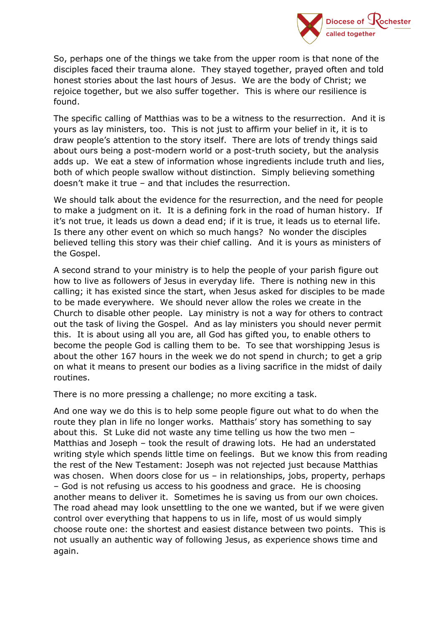

So, perhaps one of the things we take from the upper room is that none of the disciples faced their trauma alone. They stayed together, prayed often and told honest stories about the last hours of Jesus. We are the body of Christ; we rejoice together, but we also suffer together. This is where our resilience is found.

The specific calling of Matthias was to be a witness to the resurrection. And it is yours as lay ministers, too. This is not just to affirm your belief in it, it is to draw people's attention to the story itself. There are lots of trendy things said about ours being a post-modern world or a post-truth society, but the analysis adds up. We eat a stew of information whose ingredients include truth and lies, both of which people swallow without distinction. Simply believing something doesn't make it true – and that includes the resurrection.

We should talk about the evidence for the resurrection, and the need for people to make a judgment on it. It is a defining fork in the road of human history. If it's not true, it leads us down a dead end; if it is true, it leads us to eternal life. Is there any other event on which so much hangs? No wonder the disciples believed telling this story was their chief calling. And it is yours as ministers of the Gospel.

A second strand to your ministry is to help the people of your parish figure out how to live as followers of Jesus in everyday life. There is nothing new in this calling; it has existed since the start, when Jesus asked for disciples to be made to be made everywhere. We should never allow the roles we create in the Church to disable other people. Lay ministry is not a way for others to contract out the task of living the Gospel. And as lay ministers you should never permit this. It is about using all you are, all God has gifted you, to enable others to become the people God is calling them to be. To see that worshipping Jesus is about the other 167 hours in the week we do not spend in church; to get a grip on what it means to present our bodies as a living sacrifice in the midst of daily routines.

There is no more pressing a challenge; no more exciting a task.

And one way we do this is to help some people figure out what to do when the route they plan in life no longer works. Matthais' story has something to say about this. St Luke did not waste any time telling us how the two men – Matthias and Joseph – took the result of drawing lots. He had an understated writing style which spends little time on feelings. But we know this from reading the rest of the New Testament: Joseph was not rejected just because Matthias was chosen. When doors close for us - in relationships, jobs, property, perhaps – God is not refusing us access to his goodness and grace. He is choosing another means to deliver it. Sometimes he is saving us from our own choices. The road ahead may look unsettling to the one we wanted, but if we were given control over everything that happens to us in life, most of us would simply choose route one: the shortest and easiest distance between two points. This is not usually an authentic way of following Jesus, as experience shows time and again.